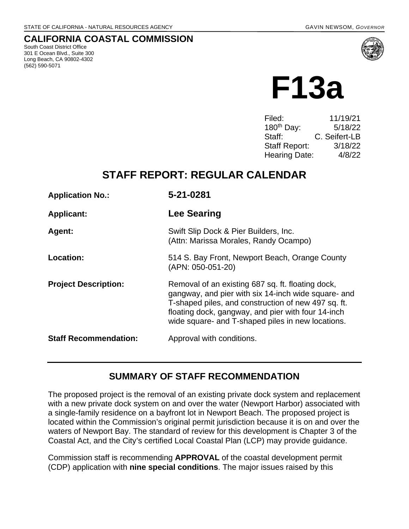## **CALIFORNIA COASTAL COMMISSION**

South Coast District Office 301 E Ocean Blvd., Suite 300 Long Beach, CA 90802-4302 (562) 590-5071



| Filed:                 | 11/19/21      |
|------------------------|---------------|
| 180 <sup>th</sup> Day: | 5/18/22       |
| Staff:                 | C. Seifert-LB |
| <b>Staff Report:</b>   | 3/18/22       |
| <b>Hearing Date:</b>   | 4/8/22        |

# **STAFF REPORT: REGULAR CALENDAR**

| <b>Application No.:</b>      | 5-21-0281                                                                                                                                                                                                                                                                  |
|------------------------------|----------------------------------------------------------------------------------------------------------------------------------------------------------------------------------------------------------------------------------------------------------------------------|
| <b>Applicant:</b>            | Lee Searing                                                                                                                                                                                                                                                                |
| Agent:                       | Swift Slip Dock & Pier Builders, Inc.<br>(Attn: Marissa Morales, Randy Ocampo)                                                                                                                                                                                             |
| Location:                    | 514 S. Bay Front, Newport Beach, Orange County<br>(APN: 050-051-20)                                                                                                                                                                                                        |
| <b>Project Description:</b>  | Removal of an existing 687 sq. ft. floating dock,<br>gangway, and pier with six 14-inch wide square- and<br>T-shaped piles, and construction of new 497 sq. ft.<br>floating dock, gangway, and pier with four 14-inch<br>wide square- and T-shaped piles in new locations. |
| <b>Staff Recommendation:</b> | Approval with conditions.                                                                                                                                                                                                                                                  |

## **SUMMARY OF STAFF RECOMMENDATION**

The proposed project is the removal of an existing private dock system and replacement with a new private dock system on and over the water (Newport Harbor) associated with a single-family residence on a bayfront lot in Newport Beach. The proposed project is located within the Commission's original permit jurisdiction because it is on and over the waters of Newport Bay. The standard of review for this development is Chapter 3 of the Coastal Act, and the City's certified Local Coastal Plan (LCP) may provide guidance.

Commission staff is recommending **APPROVAL** of the coastal development permit (CDP) application with **nine special conditions**. The major issues raised by this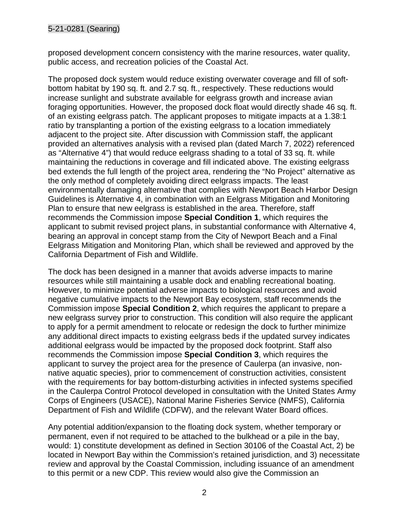proposed development concern consistency with the marine resources, water quality, public access, and recreation policies of the Coastal Act.

The proposed dock system would reduce existing overwater coverage and fill of softbottom habitat by 190 sq. ft. and 2.7 sq. ft., respectively. These reductions would increase sunlight and substrate available for eelgrass growth and increase avian foraging opportunities. However, the proposed dock float would directly shade 46 sq. ft. of an existing eelgrass patch. The applicant proposes to mitigate impacts at a 1.38:1 ratio by transplanting a portion of the existing eelgrass to a location immediately adjacent to the project site. After discussion with Commission staff, the applicant provided an alternatives analysis with a revised plan (dated March 7, 2022) referenced as "Alternative 4") that would reduce eelgrass shading to a total of 33 sq. ft. while maintaining the reductions in coverage and fill indicated above. The existing eelgrass bed extends the full length of the project area, rendering the "No Project" alternative as the only method of completely avoiding direct eelgrass impacts. The least environmentally damaging alternative that complies with Newport Beach Harbor Design Guidelines is Alternative 4, in combination with an Eelgrass Mitigation and Monitoring Plan to ensure that new eelgrass is established in the area. Therefore, staff recommends the Commission impose **Special Condition 1**, which requires the applicant to submit revised project plans, in substantial conformance with Alternative 4, bearing an approval in concept stamp from the City of Newport Beach and a Final Eelgrass Mitigation and Monitoring Plan, which shall be reviewed and approved by the California Department of Fish and Wildlife.

The dock has been designed in a manner that avoids adverse impacts to marine resources while still maintaining a usable dock and enabling recreational boating. However, to minimize potential adverse impacts to biological resources and avoid negative cumulative impacts to the Newport Bay ecosystem, staff recommends the Commission impose **Special Condition 2**, which requires the applicant to prepare a new eelgrass survey prior to construction. This condition will also require the applicant to apply for a permit amendment to relocate or redesign the dock to further minimize any additional direct impacts to existing eelgrass beds if the updated survey indicates additional eelgrass would be impacted by the proposed dock footprint. Staff also recommends the Commission impose **Special Condition 3**, which requires the applicant to survey the project area for the presence of Caulerpa (an invasive, nonnative aquatic species), prior to commencement of construction activities, consistent with the requirements for bay bottom-disturbing activities in infected systems specified in the Caulerpa Control Protocol developed in consultation with the United States Army Corps of Engineers (USACE), National Marine Fisheries Service (NMFS), California Department of Fish and Wildlife (CDFW), and the relevant Water Board offices.

Any potential addition/expansion to the floating dock system, whether temporary or permanent, even if not required to be attached to the bulkhead or a pile in the bay, would: 1) constitute development as defined in Section 30106 of the Coastal Act, 2) be located in Newport Bay within the Commission's retained jurisdiction, and 3) necessitate review and approval by the Coastal Commission, including issuance of an amendment to this permit or a new CDP. This review would also give the Commission an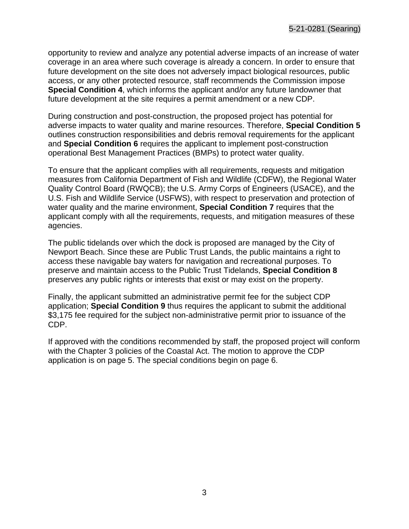opportunity to review and analyze any potential adverse impacts of an increase of water coverage in an area where such coverage is already a concern. In order to ensure that future development on the site does not adversely impact biological resources, public access, or any other protected resource, staff recommends the Commission impose **Special Condition 4**, which informs the applicant and/or any future landowner that future development at the site requires a permit amendment or a new CDP.

During construction and post-construction, the proposed project has potential for adverse impacts to water quality and marine resources. Therefore, **Special Condition 5** outlines construction responsibilities and debris removal requirements for the applicant and **Special Condition 6** requires the applicant to implement post-construction operational Best Management Practices (BMPs) to protect water quality.

To ensure that the applicant complies with all requirements, requests and mitigation measures from California Department of Fish and Wildlife (CDFW), the Regional Water Quality Control Board (RWQCB); the U.S. Army Corps of Engineers (USACE), and the U.S. Fish and Wildlife Service (USFWS), with respect to preservation and protection of water quality and the marine environment, **Special Condition 7** requires that the applicant comply with all the requirements, requests, and mitigation measures of these agencies.

The public tidelands over which the dock is proposed are managed by the City of Newport Beach. Since these are Public Trust Lands, the public maintains a right to access these navigable bay waters for navigation and recreational purposes. To preserve and maintain access to the Public Trust Tidelands, **Special Condition 8** preserves any public rights or interests that exist or may exist on the property.

Finally, the applicant submitted an administrative permit fee for the subject CDP application; **Special Condition 9** thus requires the applicant to submit the additional \$3,175 fee required for the subject non-administrative permit prior to issuance of the CDP.

If approved with the conditions recommended by staff, the proposed project will conform with the Chapter 3 policies of the Coastal Act. The motion to approve the CDP application is on page 5. The special conditions begin on page 6.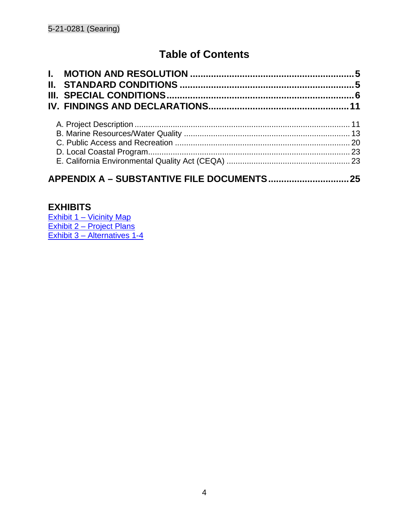# **Table of Contents**

## **EXHIBITS**

<u>[Exhibit 1 – Vicinity Map](https://documents.coastal.ca.gov/reports/2022/4/f13a/f13a-4-2022-exhibits.pdf)</u> [Exhibit 2 – Project Plans](https://documents.coastal.ca.gov/reports/2022/4/f13a/f13a-4-2022-exhibits.pdf) [Exhibit 3 – Alternatives 1-4](https://documents.coastal.ca.gov/reports/2022/4/f13a/f13a-4-2022-exhibits.pdf)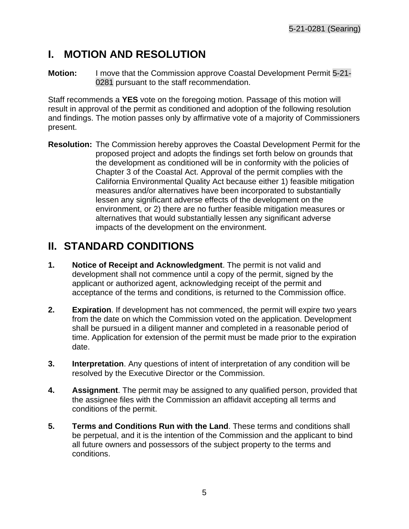# <span id="page-4-0"></span>**I. MOTION AND RESOLUTION**

**Motion:** I move that the Commission approve Coastal Development Permit 5-21- 0281 pursuant to the staff recommendation.

Staff recommends a **YES** vote on the foregoing motion. Passage of this motion will result in approval of the permit as conditioned and adoption of the following resolution and findings. The motion passes only by affirmative vote of a majority of Commissioners present.

**Resolution:** The Commission hereby approves the Coastal Development Permit for the proposed project and adopts the findings set forth below on grounds that the development as conditioned will be in conformity with the policies of Chapter 3 of the Coastal Act. Approval of the permit complies with the California Environmental Quality Act because either 1) feasible mitigation measures and/or alternatives have been incorporated to substantially lessen any significant adverse effects of the development on the environment, or 2) there are no further feasible mitigation measures or alternatives that would substantially lessen any significant adverse impacts of the development on the environment.

# <span id="page-4-1"></span>**II. STANDARD CONDITIONS**

- **1. Notice of Receipt and Acknowledgment**. The permit is not valid and development shall not commence until a copy of the permit, signed by the applicant or authorized agent, acknowledging receipt of the permit and acceptance of the terms and conditions, is returned to the Commission office.
- **2. Expiration**. If development has not commenced, the permit will expire two years from the date on which the Commission voted on the application. Development shall be pursued in a diligent manner and completed in a reasonable period of time. Application for extension of the permit must be made prior to the expiration date.
- **3. Interpretation**. Any questions of intent of interpretation of any condition will be resolved by the Executive Director or the Commission.
- **4. Assignment**. The permit may be assigned to any qualified person, provided that the assignee files with the Commission an affidavit accepting all terms and conditions of the permit.
- **5. Terms and Conditions Run with the Land**. These terms and conditions shall be perpetual, and it is the intention of the Commission and the applicant to bind all future owners and possessors of the subject property to the terms and conditions.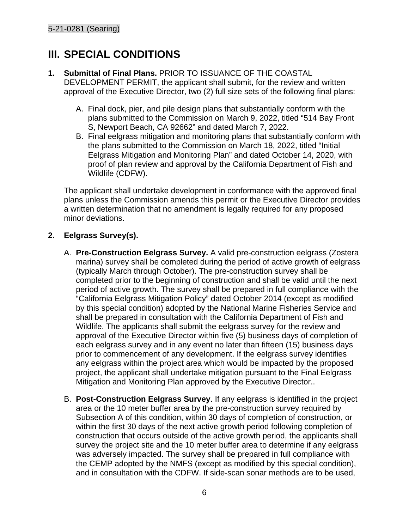# <span id="page-5-0"></span>**III. SPECIAL CONDITIONS**

- **1. Submittal of Final Plans.** PRIOR TO ISSUANCE OF THE COASTAL DEVELOPMENT PERMIT, the applicant shall submit, for the review and written approval of the Executive Director, two (2) full size sets of the following final plans:
	- A. Final dock, pier, and pile design plans that substantially conform with the plans submitted to the Commission on March 9, 2022, titled "514 Bay Front S, Newport Beach, CA 92662" and dated March 7, 2022.
	- B. Final eelgrass mitigation and monitoring plans that substantially conform with the plans submitted to the Commission on March 18, 2022, titled "Initial Eelgrass Mitigation and Monitoring Plan" and dated October 14, 2020, with proof of plan review and approval by the California Department of Fish and Wildlife (CDFW).

The applicant shall undertake development in conformance with the approved final plans unless the Commission amends this permit or the Executive Director provides a written determination that no amendment is legally required for any proposed minor deviations.

## **2. Eelgrass Survey(s).**

- A. **Pre-Construction Eelgrass Survey.** A valid pre-construction eelgrass (Zostera marina) survey shall be completed during the period of active growth of eelgrass (typically March through October). The pre-construction survey shall be completed prior to the beginning of construction and shall be valid until the next period of active growth. The survey shall be prepared in full compliance with the "California Eelgrass Mitigation Policy" dated October 2014 (except as modified by this special condition) adopted by the National Marine Fisheries Service and shall be prepared in consultation with the California Department of Fish and Wildlife. The applicants shall submit the eelgrass survey for the review and approval of the Executive Director within five (5) business days of completion of each eelgrass survey and in any event no later than fifteen (15) business days prior to commencement of any development. If the eelgrass survey identifies any eelgrass within the project area which would be impacted by the proposed project, the applicant shall undertake mitigation pursuant to the Final Eelgrass Mitigation and Monitoring Plan approved by the Executive Director..
- B. **Post-Construction Eelgrass Survey**. If any eelgrass is identified in the project area or the 10 meter buffer area by the pre-construction survey required by Subsection A of this condition, within 30 days of completion of construction, or within the first 30 days of the next active growth period following completion of construction that occurs outside of the active growth period, the applicants shall survey the project site and the 10 meter buffer area to determine if any eelgrass was adversely impacted. The survey shall be prepared in full compliance with the CEMP adopted by the NMFS (except as modified by this special condition), and in consultation with the CDFW. If side-scan sonar methods are to be used,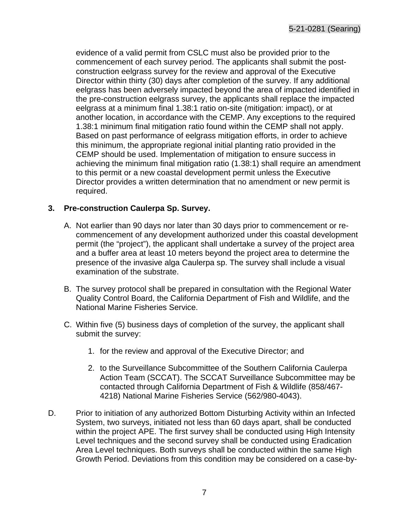evidence of a valid permit from CSLC must also be provided prior to the commencement of each survey period. The applicants shall submit the postconstruction eelgrass survey for the review and approval of the Executive Director within thirty (30) days after completion of the survey. If any additional eelgrass has been adversely impacted beyond the area of impacted identified in the pre-construction eelgrass survey, the applicants shall replace the impacted eelgrass at a minimum final 1.38:1 ratio on-site (mitigation: impact), or at another location, in accordance with the CEMP. Any exceptions to the required 1.38:1 minimum final mitigation ratio found within the CEMP shall not apply. Based on past performance of eelgrass mitigation efforts, in order to achieve this minimum, the appropriate regional initial planting ratio provided in the CEMP should be used. Implementation of mitigation to ensure success in achieving the minimum final mitigation ratio (1.38:1) shall require an amendment to this permit or a new coastal development permit unless the Executive Director provides a written determination that no amendment or new permit is required.

#### **3. Pre-construction Caulerpa Sp. Survey.**

- A. Not earlier than 90 days nor later than 30 days prior to commencement or recommencement of any development authorized under this coastal development permit (the "project"), the applicant shall undertake a survey of the project area and a buffer area at least 10 meters beyond the project area to determine the presence of the invasive alga Caulerpa sp. The survey shall include a visual examination of the substrate.
- B. The survey protocol shall be prepared in consultation with the Regional Water Quality Control Board, the California Department of Fish and Wildlife, and the National Marine Fisheries Service.
- C. Within five (5) business days of completion of the survey, the applicant shall submit the survey:
	- 1. for the review and approval of the Executive Director; and
	- 2. to the Surveillance Subcommittee of the Southern California Caulerpa Action Team (SCCAT). The SCCAT Surveillance Subcommittee may be contacted through California Department of Fish & Wildlife (858/467- 4218) National Marine Fisheries Service (562/980-4043).
- D. Prior to initiation of any authorized Bottom Disturbing Activity within an Infected System, two surveys, initiated not less than 60 days apart, shall be conducted within the project APE. The first survey shall be conducted using High Intensity Level techniques and the second survey shall be conducted using Eradication Area Level techniques. Both surveys shall be conducted within the same High Growth Period. Deviations from this condition may be considered on a case-by-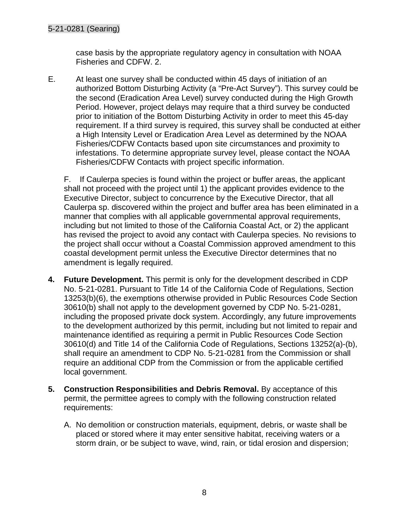case basis by the appropriate regulatory agency in consultation with NOAA Fisheries and CDFW. 2.

E. At least one survey shall be conducted within 45 days of initiation of an authorized Bottom Disturbing Activity (a "Pre-Act Survey"). This survey could be the second (Eradication Area Level) survey conducted during the High Growth Period. However, project delays may require that a third survey be conducted prior to initiation of the Bottom Disturbing Activity in order to meet this 45-day requirement. If a third survey is required, this survey shall be conducted at either a High Intensity Level or Eradication Area Level as determined by the NOAA Fisheries/CDFW Contacts based upon site circumstances and proximity to infestations. To determine appropriate survey level, please contact the NOAA Fisheries/CDFW Contacts with project specific information.

F. If Caulerpa species is found within the project or buffer areas, the applicant shall not proceed with the project until 1) the applicant provides evidence to the Executive Director, subject to concurrence by the Executive Director, that all Caulerpa sp. discovered within the project and buffer area has been eliminated in a manner that complies with all applicable governmental approval requirements, including but not limited to those of the California Coastal Act, or 2) the applicant has revised the project to avoid any contact with Caulerpa species. No revisions to the project shall occur without a Coastal Commission approved amendment to this coastal development permit unless the Executive Director determines that no amendment is legally required.

- **4. Future Development.** This permit is only for the development described in CDP No. 5-21-0281. Pursuant to Title 14 of the California Code of Regulations, Section 13253(b)(6), the exemptions otherwise provided in Public Resources Code Section 30610(b) shall not apply to the development governed by CDP No. 5-21-0281, including the proposed private dock system. Accordingly, any future improvements to the development authorized by this permit, including but not limited to repair and maintenance identified as requiring a permit in Public Resources Code Section 30610(d) and Title 14 of the California Code of Regulations, Sections 13252(a)-(b), shall require an amendment to CDP No. 5-21-0281 from the Commission or shall require an additional CDP from the Commission or from the applicable certified local government.
- **5. Construction Responsibilities and Debris Removal.** By acceptance of this permit, the permittee agrees to comply with the following construction related requirements:
	- A. No demolition or construction materials, equipment, debris, or waste shall be placed or stored where it may enter sensitive habitat, receiving waters or a storm drain, or be subject to wave, wind, rain, or tidal erosion and dispersion;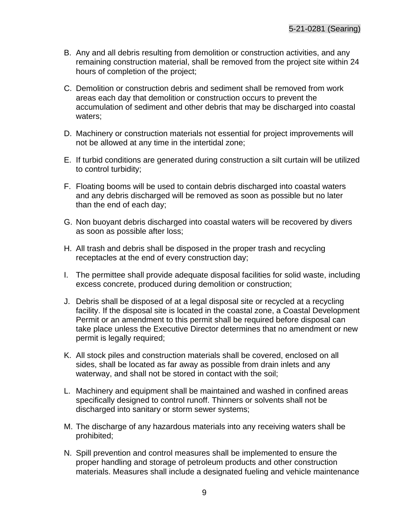- B. Any and all debris resulting from demolition or construction activities, and any remaining construction material, shall be removed from the project site within 24 hours of completion of the project;
- C. Demolition or construction debris and sediment shall be removed from work areas each day that demolition or construction occurs to prevent the accumulation of sediment and other debris that may be discharged into coastal waters;
- D. Machinery or construction materials not essential for project improvements will not be allowed at any time in the intertidal zone;
- E. If turbid conditions are generated during construction a silt curtain will be utilized to control turbidity;
- F. Floating booms will be used to contain debris discharged into coastal waters and any debris discharged will be removed as soon as possible but no later than the end of each day;
- G. Non buoyant debris discharged into coastal waters will be recovered by divers as soon as possible after loss;
- H. All trash and debris shall be disposed in the proper trash and recycling receptacles at the end of every construction day;
- I. The permittee shall provide adequate disposal facilities for solid waste, including excess concrete, produced during demolition or construction;
- J. Debris shall be disposed of at a legal disposal site or recycled at a recycling facility. If the disposal site is located in the coastal zone, a Coastal Development Permit or an amendment to this permit shall be required before disposal can take place unless the Executive Director determines that no amendment or new permit is legally required;
- K. All stock piles and construction materials shall be covered, enclosed on all sides, shall be located as far away as possible from drain inlets and any waterway, and shall not be stored in contact with the soil;
- L. Machinery and equipment shall be maintained and washed in confined areas specifically designed to control runoff. Thinners or solvents shall not be discharged into sanitary or storm sewer systems;
- M. The discharge of any hazardous materials into any receiving waters shall be prohibited;
- N. Spill prevention and control measures shall be implemented to ensure the proper handling and storage of petroleum products and other construction materials. Measures shall include a designated fueling and vehicle maintenance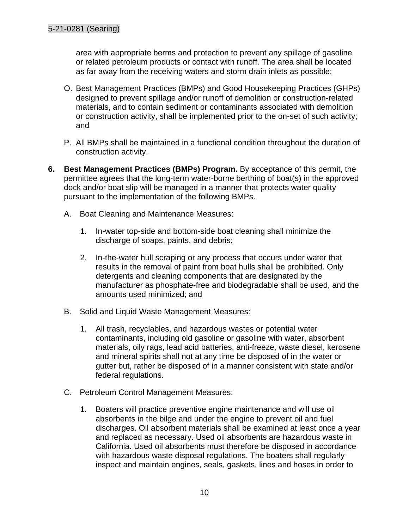area with appropriate berms and protection to prevent any spillage of gasoline or related petroleum products or contact with runoff. The area shall be located as far away from the receiving waters and storm drain inlets as possible;

- O. Best Management Practices (BMPs) and Good Housekeeping Practices (GHPs) designed to prevent spillage and/or runoff of demolition or construction-related materials, and to contain sediment or contaminants associated with demolition or construction activity, shall be implemented prior to the on-set of such activity; and
- P. All BMPs shall be maintained in a functional condition throughout the duration of construction activity.
- **6. Best Management Practices (BMPs) Program.** By acceptance of this permit, the permittee agrees that the long-term water-borne berthing of boat(s) in the approved dock and/or boat slip will be managed in a manner that protects water quality pursuant to the implementation of the following BMPs.
	- A. Boat Cleaning and Maintenance Measures:
		- 1. In-water top-side and bottom-side boat cleaning shall minimize the discharge of soaps, paints, and debris;
		- 2. In-the-water hull scraping or any process that occurs under water that results in the removal of paint from boat hulls shall be prohibited. Only detergents and cleaning components that are designated by the manufacturer as phosphate-free and biodegradable shall be used, and the amounts used minimized; and
	- B. Solid and Liquid Waste Management Measures:
		- 1. All trash, recyclables, and hazardous wastes or potential water contaminants, including old gasoline or gasoline with water, absorbent materials, oily rags, lead acid batteries, anti-freeze, waste diesel, kerosene and mineral spirits shall not at any time be disposed of in the water or gutter but, rather be disposed of in a manner consistent with state and/or federal regulations.
	- C. Petroleum Control Management Measures:
		- 1. Boaters will practice preventive engine maintenance and will use oil absorbents in the bilge and under the engine to prevent oil and fuel discharges. Oil absorbent materials shall be examined at least once a year and replaced as necessary. Used oil absorbents are hazardous waste in California. Used oil absorbents must therefore be disposed in accordance with hazardous waste disposal regulations. The boaters shall regularly inspect and maintain engines, seals, gaskets, lines and hoses in order to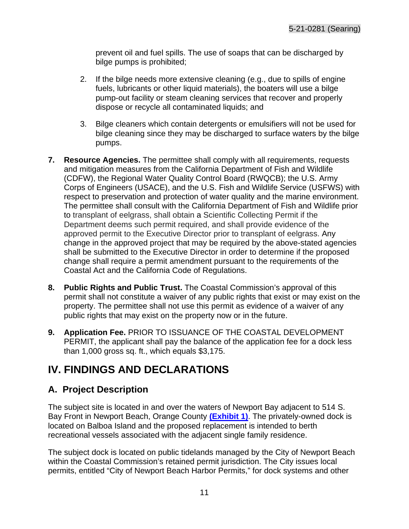prevent oil and fuel spills. The use of soaps that can be discharged by bilge pumps is prohibited;

- 2. If the bilge needs more extensive cleaning (e.g., due to spills of engine fuels, lubricants or other liquid materials), the boaters will use a bilge pump-out facility or steam cleaning services that recover and properly dispose or recycle all contaminated liquids; and
- 3. Bilge cleaners which contain detergents or emulsifiers will not be used for bilge cleaning since they may be discharged to surface waters by the bilge pumps.
- **7. Resource Agencies.** The permittee shall comply with all requirements, requests and mitigation measures from the California Department of Fish and Wildlife (CDFW), the Regional Water Quality Control Board (RWQCB); the U.S. Army Corps of Engineers (USACE), and the U.S. Fish and Wildlife Service (USFWS) with respect to preservation and protection of water quality and the marine environment. The permittee shall consult with the California Department of Fish and Wildlife prior to transplant of eelgrass, shall obtain a Scientific Collecting Permit if the Department deems such permit required, and shall provide evidence of the approved permit to the Executive Director prior to transplant of eelgrass. Any change in the approved project that may be required by the above-stated agencies shall be submitted to the Executive Director in order to determine if the proposed change shall require a permit amendment pursuant to the requirements of the Coastal Act and the California Code of Regulations.
- **8. Public Rights and Public Trust.** The Coastal Commission's approval of this permit shall not constitute a waiver of any public rights that exist or may exist on the property. The permittee shall not use this permit as evidence of a waiver of any public rights that may exist on the property now or in the future.
- **9. Application Fee.** PRIOR TO ISSUANCE OF THE COASTAL DEVELOPMENT PERMIT, the applicant shall pay the balance of the application fee for a dock less than 1,000 gross sq. ft., which equals \$3,175.

# <span id="page-10-0"></span>**IV. FINDINGS AND DECLARATIONS**

# <span id="page-10-1"></span>**A. Project Description**

The subject site is located in and over the waters of Newport Bay adjacent to 514 S. Bay Front in Newport Beach, Orange County **[\(Exhibit 1\)](https://documents.coastal.ca.gov/reports/2022/4/f13a/f13a-4-2022-exhibits.pdf)**. The privately-owned dock is located on Balboa Island and the proposed replacement is intended to berth recreational vessels associated with the adjacent single family residence.

The subject dock is located on public tidelands managed by the City of Newport Beach within the Coastal Commission's retained permit jurisdiction. The City issues local permits, entitled "City of Newport Beach Harbor Permits," for dock systems and other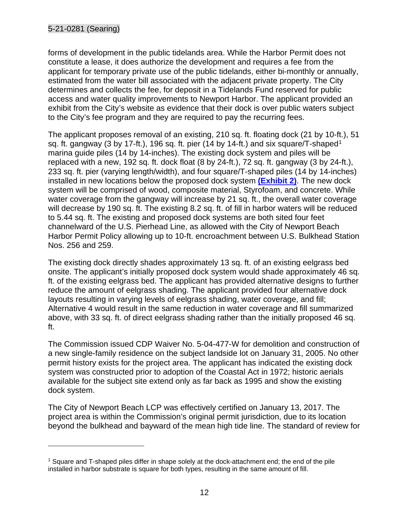forms of development in the public tidelands area. While the Harbor Permit does not constitute a lease, it does authorize the development and requires a fee from the applicant for temporary private use of the public tidelands, either bi-monthly or annually, estimated from the water bill associated with the adjacent private property. The City determines and collects the fee, for deposit in a Tidelands Fund reserved for public access and water quality improvements to Newport Harbor. The applicant provided an exhibit from the City's website as evidence that their dock is over public waters subject to the City's fee program and they are required to pay the recurring fees.

The applicant proposes removal of an existing, 210 sq. ft. floating dock (21 by 10-ft.), 51 sq. ft. gangway (3 by [1](#page-11-0)7-ft.), 196 sq. ft. pier (14 by 14-ft.) and six square/T-shaped<sup>1</sup> marina guide piles (14 by 14-inches). The existing dock system and piles will be replaced with a new, 192 sq. ft. dock float (8 by 24-ft.), 72 sq. ft. gangway (3 by 24-ft.), 233 sq. ft. pier (varying length/width), and four square/T-shaped piles (14 by 14-inches) installed in new locations below the proposed dock system **[\(Exhibit 2\)](https://documents.coastal.ca.gov/reports/2022/4/f13a/f13a-4-2022-exhibits.pdf)**. The new dock system will be comprised of wood, composite material, Styrofoam, and concrete. While water coverage from the gangway will increase by 21 sq. ft., the overall water coverage will decrease by 190 sq. ft. The existing 8.2 sq. ft. of fill in harbor waters will be reduced to 5.44 sq. ft. The existing and proposed dock systems are both sited four feet channelward of the U.S. Pierhead Line, as allowed with the City of Newport Beach Harbor Permit Policy allowing up to 10-ft. encroachment between U.S. Bulkhead Station Nos. 256 and 259.

The existing dock directly shades approximately 13 sq. ft. of an existing eelgrass bed onsite. The applicant's initially proposed dock system would shade approximately 46 sq. ft. of the existing eelgrass bed. The applicant has provided alternative designs to further reduce the amount of eelgrass shading. The applicant provided four alternative dock layouts resulting in varying levels of eelgrass shading, water coverage, and fill; Alternative 4 would result in the same reduction in water coverage and fill summarized above, with 33 sq. ft. of direct eelgrass shading rather than the initially proposed 46 sq. ft.

The Commission issued CDP Waiver No. 5-04-477-W for demolition and construction of a new single-family residence on the subject landside lot on January 31, 2005. No other permit history exists for the project area. The applicant has indicated the existing dock system was constructed prior to adoption of the Coastal Act in 1972; historic aerials available for the subject site extend only as far back as 1995 and show the existing dock system.

The City of Newport Beach LCP was effectively certified on January 13, 2017. The project area is within the Commission's original permit jurisdiction, due to its location beyond the bulkhead and bayward of the mean high tide line. The standard of review for

<span id="page-11-0"></span> $<sup>1</sup>$  Square and T-shaped piles differ in shape solely at the dock-attachment end; the end of the pile</sup> installed in harbor substrate is square for both types, resulting in the same amount of fill.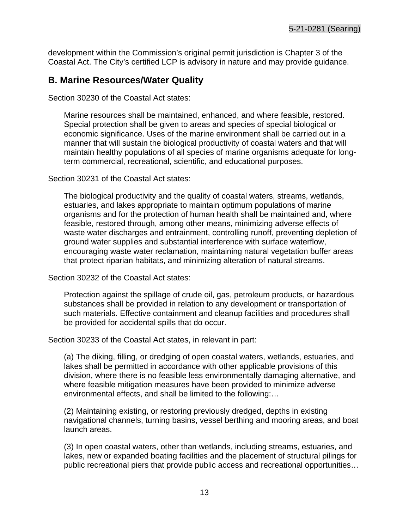development within the Commission's original permit jurisdiction is Chapter 3 of the Coastal Act. The City's certified LCP is advisory in nature and may provide guidance.

## <span id="page-12-0"></span>**B. Marine Resources/Water Quality**

Section 30230 of the Coastal Act states:

Marine resources shall be maintained, enhanced, and where feasible, restored. Special protection shall be given to areas and species of special biological or economic significance. Uses of the marine environment shall be carried out in a manner that will sustain the biological productivity of coastal waters and that will maintain healthy populations of all species of marine organisms adequate for longterm commercial, recreational, scientific, and educational purposes.

Section 30231 of the Coastal Act states:

The biological productivity and the quality of coastal waters, streams, wetlands, estuaries, and lakes appropriate to maintain optimum populations of marine organisms and for the protection of human health shall be maintained and, where feasible, restored through, among other means, minimizing adverse effects of waste water discharges and entrainment, controlling runoff, preventing depletion of ground water supplies and substantial interference with surface waterflow, encouraging waste water reclamation, maintaining natural vegetation buffer areas that protect riparian habitats, and minimizing alteration of natural streams.

Section 30232 of the Coastal Act states:

Protection against the spillage of crude oil, gas, petroleum products, or hazardous substances shall be provided in relation to any development or transportation of such materials. Effective containment and cleanup facilities and procedures shall be provided for accidental spills that do occur.

Section 30233 of the Coastal Act states, in relevant in part:

(a) The diking, filling, or dredging of open coastal waters, wetlands, estuaries, and lakes shall be permitted in accordance with other applicable provisions of this division, where there is no feasible less environmentally damaging alternative, and where feasible mitigation measures have been provided to minimize adverse environmental effects, and shall be limited to the following:…

(2) Maintaining existing, or restoring previously dredged, depths in existing navigational channels, turning basins, vessel berthing and mooring areas, and boat launch areas.

(3) In open coastal waters, other than wetlands, including streams, estuaries, and lakes, new or expanded boating facilities and the placement of structural pilings for public recreational piers that provide public access and recreational opportunities…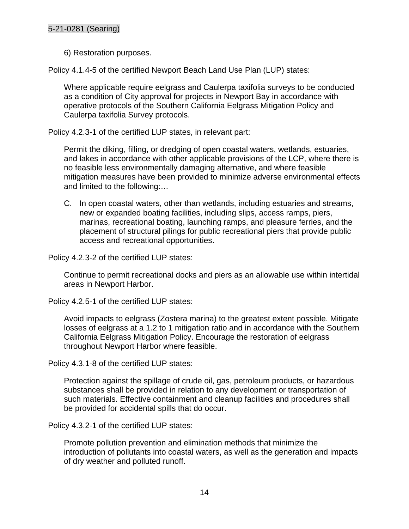#### 5-21-0281 (Searing)

6) Restoration purposes.

Policy 4.1.4-5 of the certified Newport Beach Land Use Plan (LUP) states:

Where applicable require eelgrass and Caulerpa taxifolia surveys to be conducted as a condition of City approval for projects in Newport Bay in accordance with operative protocols of the Southern California Eelgrass Mitigation Policy and Caulerpa taxifolia Survey protocols.

Policy 4.2.3-1 of the certified LUP states, in relevant part:

Permit the diking, filling, or dredging of open coastal waters, wetlands, estuaries, and lakes in accordance with other applicable provisions of the LCP, where there is no feasible less environmentally damaging alternative, and where feasible mitigation measures have been provided to minimize adverse environmental effects and limited to the following:…

C. In open coastal waters, other than wetlands, including estuaries and streams, new or expanded boating facilities, including slips, access ramps, piers, marinas, recreational boating, launching ramps, and pleasure ferries, and the placement of structural pilings for public recreational piers that provide public access and recreational opportunities.

Policy 4.2.3-2 of the certified LUP states:

Continue to permit recreational docks and piers as an allowable use within intertidal areas in Newport Harbor.

Policy 4.2.5-1 of the certified LUP states:

Avoid impacts to eelgrass (Zostera marina) to the greatest extent possible. Mitigate losses of eelgrass at a 1.2 to 1 mitigation ratio and in accordance with the Southern California Eelgrass Mitigation Policy. Encourage the restoration of eelgrass throughout Newport Harbor where feasible.

Policy 4.3.1-8 of the certified LUP states:

Protection against the spillage of crude oil, gas, petroleum products, or hazardous substances shall be provided in relation to any development or transportation of such materials. Effective containment and cleanup facilities and procedures shall be provided for accidental spills that do occur.

Policy 4.3.2-1 of the certified LUP states:

Promote pollution prevention and elimination methods that minimize the introduction of pollutants into coastal waters, as well as the generation and impacts of dry weather and polluted runoff.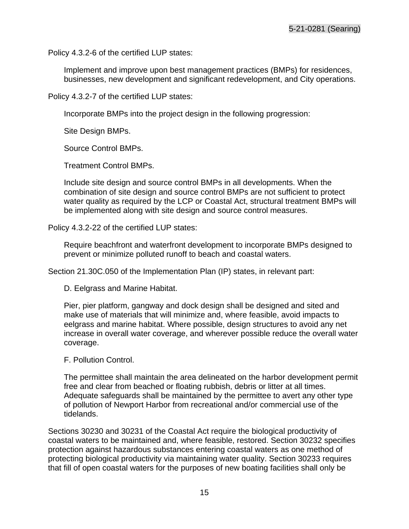Policy 4.3.2-6 of the certified LUP states:

Implement and improve upon best management practices (BMPs) for residences, businesses, new development and significant redevelopment, and City operations.

Policy 4.3.2-7 of the certified LUP states:

Incorporate BMPs into the project design in the following progression:

Site Design BMPs.

Source Control BMPs.

Treatment Control BMPs.

Include site design and source control BMPs in all developments. When the combination of site design and source control BMPs are not sufficient to protect water quality as required by the LCP or Coastal Act, structural treatment BMPs will be implemented along with site design and source control measures.

Policy 4.3.2-22 of the certified LUP states:

Require beachfront and waterfront development to incorporate BMPs designed to prevent or minimize polluted runoff to beach and coastal waters.

Section 21.30C.050 of the Implementation Plan (IP) states, in relevant part:

D. Eelgrass and Marine Habitat.

Pier, pier platform, gangway and dock design shall be designed and sited and make use of materials that will minimize and, where feasible, avoid impacts to eelgrass and marine habitat. Where possible, design structures to avoid any net increase in overall water coverage, and wherever possible reduce the overall water coverage.

F. Pollution Control.

The permittee shall maintain the area delineated on the harbor development permit free and clear from beached or floating rubbish, debris or litter at all times. Adequate safeguards shall be maintained by the permittee to avert any other type of pollution of Newport Harbor from recreational and/or commercial use of the tidelands.

Sections 30230 and 30231 of the Coastal Act require the biological productivity of coastal waters to be maintained and, where feasible, restored. Section 30232 specifies protection against hazardous substances entering coastal waters as one method of protecting biological productivity via maintaining water quality. Section 30233 requires that fill of open coastal waters for the purposes of new boating facilities shall only be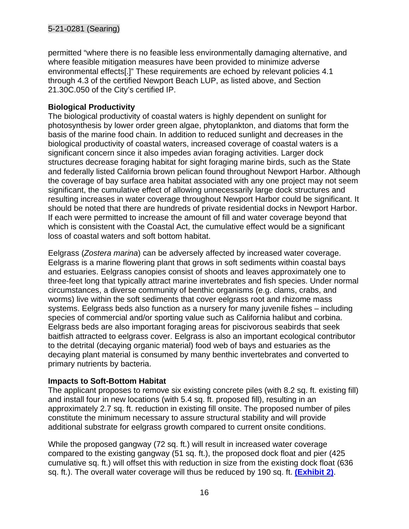permitted "where there is no feasible less environmentally damaging alternative, and where feasible mitigation measures have been provided to minimize adverse environmental effects[.]" These requirements are echoed by relevant policies 4.1 through 4.3 of the certified Newport Beach LUP, as listed above, and Section 21.30C.050 of the City's certified IP.

## **Biological Productivity**

The biological productivity of coastal waters is highly dependent on sunlight for photosynthesis by lower order green algae, phytoplankton, and diatoms that form the basis of the marine food chain. In addition to reduced sunlight and decreases in the biological productivity of coastal waters, increased coverage of coastal waters is a significant concern since it also impedes avian foraging activities. Larger dock structures decrease foraging habitat for sight foraging marine birds, such as the State and federally listed California brown pelican found throughout Newport Harbor. Although the coverage of bay surface area habitat associated with any one project may not seem significant, the cumulative effect of allowing unnecessarily large dock structures and resulting increases in water coverage throughout Newport Harbor could be significant. It should be noted that there are hundreds of private residential docks in Newport Harbor. If each were permitted to increase the amount of fill and water coverage beyond that which is consistent with the Coastal Act, the cumulative effect would be a significant loss of coastal waters and soft bottom habitat.

Eelgrass (*Zostera marina*) can be adversely affected by increased water coverage. Eelgrass is a marine flowering plant that grows in soft sediments within coastal bays and estuaries. Eelgrass canopies consist of shoots and leaves approximately one to three-feet long that typically attract marine invertebrates and fish species. Under normal circumstances, a diverse community of benthic organisms (e.g. clams, crabs, and worms) live within the soft sediments that cover eelgrass root and rhizome mass systems. Eelgrass beds also function as a nursery for many juvenile fishes – including species of commercial and/or sporting value such as California halibut and corbina. Eelgrass beds are also important foraging areas for piscivorous seabirds that seek baitfish attracted to eelgrass cover. Eelgrass is also an important ecological contributor to the detrital (decaying organic material) food web of bays and estuaries as the decaying plant material is consumed by many benthic invertebrates and converted to primary nutrients by bacteria.

#### **Impacts to Soft-Bottom Habitat**

The applicant proposes to remove six existing concrete piles (with 8.2 sq. ft. existing fill) and install four in new locations (with 5.4 sq. ft. proposed fill), resulting in an approximately 2.7 sq. ft. reduction in existing fill onsite. The proposed number of piles constitute the minimum necessary to assure structural stability and will provide additional substrate for eelgrass growth compared to current onsite conditions.

While the proposed gangway (72 sq. ft.) will result in increased water coverage compared to the existing gangway (51 sq. ft.), the proposed dock float and pier (425 cumulative sq. ft.) will offset this with reduction in size from the existing dock float (636 sq. ft.). The overall water coverage will thus be reduced by 190 sq. ft. **[\(Exhibit 2\)](https://documents.coastal.ca.gov/reports/2022/4/f13a/f13a-4-2022-exhibits.pdf)**.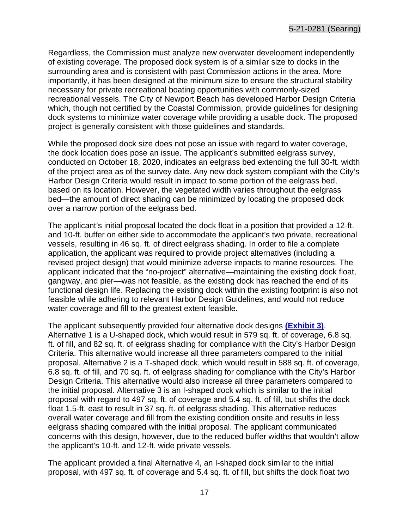Regardless, the Commission must analyze new overwater development independently of existing coverage. The proposed dock system is of a similar size to docks in the surrounding area and is consistent with past Commission actions in the area. More importantly, it has been designed at the minimum size to ensure the structural stability necessary for private recreational boating opportunities with commonly-sized recreational vessels. The City of Newport Beach has developed Harbor Design Criteria which, though not certified by the Coastal Commission, provide guidelines for designing dock systems to minimize water coverage while providing a usable dock. The proposed project is generally consistent with those guidelines and standards.

While the proposed dock size does not pose an issue with regard to water coverage, the dock location does pose an issue. The applicant's submitted eelgrass survey, conducted on October 18, 2020, indicates an eelgrass bed extending the full 30-ft. width of the project area as of the survey date. Any new dock system compliant with the City's Harbor Design Criteria would result in impact to some portion of the eelgrass bed, based on its location. However, the vegetated width varies throughout the eelgrass bed—the amount of direct shading can be minimized by locating the proposed dock over a narrow portion of the eelgrass bed.

The applicant's initial proposal located the dock float in a position that provided a 12-ft. and 10-ft. buffer on either side to accommodate the applicant's two private, recreational vessels, resulting in 46 sq. ft. of direct eelgrass shading. In order to file a complete application, the applicant was required to provide project alternatives (including a revised project design) that would minimize adverse impacts to marine resources. The applicant indicated that the "no-project" alternative—maintaining the existing dock float, gangway, and pier—was not feasible, as the existing dock has reached the end of its functional design life. Replacing the existing dock within the existing footprint is also not feasible while adhering to relevant Harbor Design Guidelines, and would not reduce water coverage and fill to the greatest extent feasible.

The applicant subsequently provided four alternative dock designs **[\(Exhibit 3\)](https://documents.coastal.ca.gov/reports/2022/4/f13a/f13a-4-2022-exhibits.pdf)**. Alternative 1 is a U-shaped dock, which would result in 579 sq. ft. of coverage, 6.8 sq. ft. of fill, and 82 sq. ft. of eelgrass shading for compliance with the City's Harbor Design Criteria. This alternative would increase all three parameters compared to the initial proposal. Alternative 2 is a T-shaped dock, which would result in 588 sq. ft. of coverage, 6.8 sq. ft. of fill, and 70 sq. ft. of eelgrass shading for compliance with the City's Harbor Design Criteria. This alternative would also increase all three parameters compared to the initial proposal. Alternative 3 is an I-shaped dock which is similar to the initial proposal with regard to 497 sq. ft. of coverage and 5.4 sq. ft. of fill, but shifts the dock float 1.5-ft. east to result in 37 sq. ft. of eelgrass shading. This alternative reduces overall water coverage and fill from the existing condition onsite and results in less eelgrass shading compared with the initial proposal. The applicant communicated concerns with this design, however, due to the reduced buffer widths that wouldn't allow the applicant's 10-ft. and 12-ft. wide private vessels.

The applicant provided a final Alternative 4, an I-shaped dock similar to the initial proposal, with 497 sq. ft. of coverage and 5.4 sq. ft. of fill, but shifts the dock float two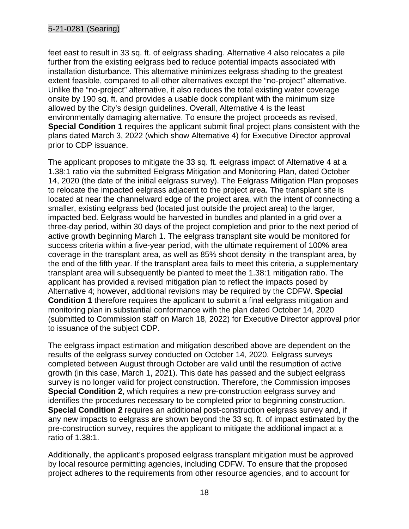#### 5-21-0281 (Searing)

feet east to result in 33 sq. ft. of eelgrass shading. Alternative 4 also relocates a pile further from the existing eelgrass bed to reduce potential impacts associated with installation disturbance. This alternative minimizes eelgrass shading to the greatest extent feasible, compared to all other alternatives except the "no-project" alternative. Unlike the "no-project" alternative, it also reduces the total existing water coverage onsite by 190 sq. ft. and provides a usable dock compliant with the minimum size allowed by the City's design guidelines. Overall, Alternative 4 is the least environmentally damaging alternative. To ensure the project proceeds as revised, **Special Condition 1** requires the applicant submit final project plans consistent with the plans dated March 3, 2022 (which show Alternative 4) for Executive Director approval prior to CDP issuance.

The applicant proposes to mitigate the 33 sq. ft. eelgrass impact of Alternative 4 at a 1.38:1 ratio via the submitted Eelgrass Mitigation and Monitoring Plan, dated October 14, 2020 (the date of the initial eelgrass survey). The Eelgrass Mitigation Plan proposes to relocate the impacted eelgrass adjacent to the project area. The transplant site is located at near the channelward edge of the project area, with the intent of connecting a smaller, existing eelgrass bed (located just outside the project area) to the larger, impacted bed. Eelgrass would be harvested in bundles and planted in a grid over a three-day period, within 30 days of the project completion and prior to the next period of active growth beginning March 1. The eelgrass transplant site would be monitored for success criteria within a five-year period, with the ultimate requirement of 100% area coverage in the transplant area, as well as 85% shoot density in the transplant area, by the end of the fifth year. If the transplant area fails to meet this criteria, a supplementary transplant area will subsequently be planted to meet the 1.38:1 mitigation ratio. The applicant has provided a revised mitigation plan to reflect the impacts posed by Alternative 4; however, additional revisions may be required by the CDFW. **Special Condition 1** therefore requires the applicant to submit a final eelgrass mitigation and monitoring plan in substantial conformance with the plan dated October 14, 2020 (submitted to Commission staff on March 18, 2022) for Executive Director approval prior to issuance of the subject CDP.

The eelgrass impact estimation and mitigation described above are dependent on the results of the eelgrass survey conducted on October 14, 2020. Eelgrass surveys completed between August through October are valid until the resumption of active growth (in this case, March 1, 2021). This date has passed and the subject eelgrass survey is no longer valid for project construction. Therefore, the Commission imposes **Special Condition 2**, which requires a new pre-construction eelgrass survey and identifies the procedures necessary to be completed prior to beginning construction. **Special Condition 2** requires an additional post-construction eelgrass survey and, if any new impacts to eelgrass are shown beyond the 33 sq. ft. of impact estimated by the pre-construction survey, requires the applicant to mitigate the additional impact at a ratio of 1.38:1.

Additionally, the applicant's proposed eelgrass transplant mitigation must be approved by local resource permitting agencies, including CDFW. To ensure that the proposed project adheres to the requirements from other resource agencies, and to account for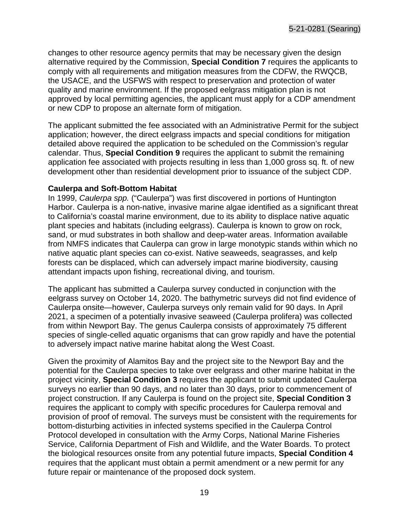changes to other resource agency permits that may be necessary given the design alternative required by the Commission, **Special Condition 7** requires the applicants to comply with all requirements and mitigation measures from the CDFW, the RWQCB, the USACE, and the USFWS with respect to preservation and protection of water quality and marine environment. If the proposed eelgrass mitigation plan is not approved by local permitting agencies, the applicant must apply for a CDP amendment or new CDP to propose an alternate form of mitigation.

The applicant submitted the fee associated with an Administrative Permit for the subject application; however, the direct eelgrass impacts and special conditions for mitigation detailed above required the application to be scheduled on the Commission's regular calendar. Thus, **Special Condition 9** requires the applicant to submit the remaining application fee associated with projects resulting in less than 1,000 gross sq. ft. of new development other than residential development prior to issuance of the subject CDP.

#### **Caulerpa and Soft-Bottom Habitat**

In 1999, *Caulerpa spp.* ("Caulerpa") was first discovered in portions of Huntington Harbor. Caulerpa is a non-native, invasive marine algae identified as a significant threat to California's coastal marine environment, due to its ability to displace native aquatic plant species and habitats (including eelgrass). Caulerpa is known to grow on rock, sand, or mud substrates in both shallow and deep-water areas. Information available from NMFS indicates that Caulerpa can grow in large monotypic stands within which no native aquatic plant species can co-exist. Native seaweeds, seagrasses, and kelp forests can be displaced, which can adversely impact marine biodiversity, causing attendant impacts upon fishing, recreational diving, and tourism.

The applicant has submitted a Caulerpa survey conducted in conjunction with the eelgrass survey on October 14, 2020. The bathymetric surveys did not find evidence of Caulerpa onsite—however, Caulerpa surveys only remain valid for 90 days. In April 2021, a specimen of a potentially invasive seaweed (Caulerpa prolifera) was collected from within Newport Bay. The genus Caulerpa consists of approximately 75 different species of single-celled aquatic organisms that can grow rapidly and have the potential to adversely impact native marine habitat along the West Coast.

Given the proximity of Alamitos Bay and the project site to the Newport Bay and the potential for the Caulerpa species to take over eelgrass and other marine habitat in the project vicinity, **Special Condition 3** requires the applicant to submit updated Caulerpa surveys no earlier than 90 days, and no later than 30 days, prior to commencement of project construction. If any Caulerpa is found on the project site, **Special Condition 3**  requires the applicant to comply with specific procedures for Caulerpa removal and provision of proof of removal. The surveys must be consistent with the requirements for bottom-disturbing activities in infected systems specified in the Caulerpa Control Protocol developed in consultation with the Army Corps, National Marine Fisheries Service, California Department of Fish and Wildlife, and the Water Boards. To protect the biological resources onsite from any potential future impacts, **Special Condition 4** requires that the applicant must obtain a permit amendment or a new permit for any future repair or maintenance of the proposed dock system.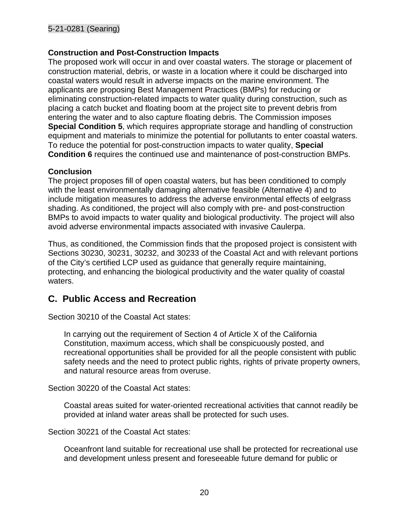#### **Construction and Post-Construction Impacts**

The proposed work will occur in and over coastal waters. The storage or placement of construction material, debris, or waste in a location where it could be discharged into coastal waters would result in adverse impacts on the marine environment. The applicants are proposing Best Management Practices (BMPs) for reducing or eliminating construction-related impacts to water quality during construction, such as placing a catch bucket and floating boom at the project site to prevent debris from entering the water and to also capture floating debris. The Commission imposes **Special Condition 5**, which requires appropriate storage and handling of construction equipment and materials to minimize the potential for pollutants to enter coastal waters. To reduce the potential for post-construction impacts to water quality, **Special Condition 6** requires the continued use and maintenance of post-construction BMPs.

#### **Conclusion**

The project proposes fill of open coastal waters, but has been conditioned to comply with the least environmentally damaging alternative feasible (Alternative 4) and to include mitigation measures to address the adverse environmental effects of eelgrass shading. As conditioned, the project will also comply with pre- and post-construction BMPs to avoid impacts to water quality and biological productivity. The project will also avoid adverse environmental impacts associated with invasive Caulerpa.

Thus, as conditioned, the Commission finds that the proposed project is consistent with Sections 30230, 30231, 30232, and 30233 of the Coastal Act and with relevant portions of the City's certified LCP used as guidance that generally require maintaining, protecting, and enhancing the biological productivity and the water quality of coastal waters.

## <span id="page-19-0"></span>**C. Public Access and Recreation**

Section 30210 of the Coastal Act states:

In carrying out the requirement of Section 4 of Article X of the California Constitution, maximum access, which shall be conspicuously posted, and recreational opportunities shall be provided for all the people consistent with public safety needs and the need to protect public rights, rights of private property owners, and natural resource areas from overuse.

Section 30220 of the Coastal Act states:

Coastal areas suited for water-oriented recreational activities that cannot readily be provided at inland water areas shall be protected for such uses.

Section 30221 of the Coastal Act states:

Oceanfront land suitable for recreational use shall be protected for recreational use and development unless present and foreseeable future demand for public or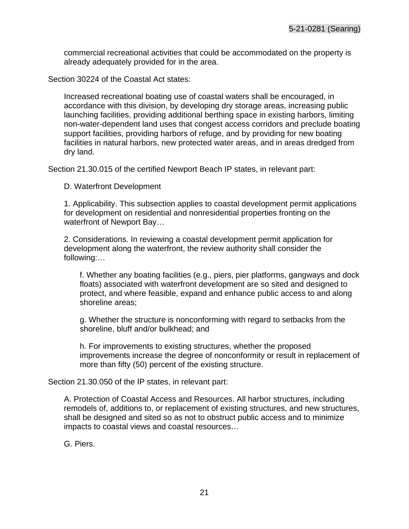commercial recreational activities that could be accommodated on the property is already adequately provided for in the area.

Section 30224 of the Coastal Act states:

Increased recreational boating use of coastal waters shall be encouraged, in accordance with this division, by developing dry storage areas, increasing public launching facilities, providing additional berthing space in existing harbors, limiting non-water-dependent land uses that congest access corridors and preclude boating support facilities, providing harbors of refuge, and by providing for new boating facilities in natural harbors, new protected water areas, and in areas dredged from dry land.

Section 21.30.015 of the certified Newport Beach IP states, in relevant part:

D. Waterfront Development

1. Applicability. This subsection applies to coastal development permit applications for development on residential and nonresidential properties fronting on the waterfront of Newport Bay…

2. Considerations. In reviewing a coastal development permit application for development along the waterfront, the review authority shall consider the following:…

f. Whether any boating facilities (e.g., piers, pier platforms, gangways and dock floats) associated with waterfront development are so sited and designed to protect, and where feasible, expand and enhance public access to and along shoreline areas;

g. Whether the structure is nonconforming with regard to setbacks from the shoreline, bluff and/or bulkhead; and

h. For improvements to existing structures, whether the proposed improvements increase the degree of nonconformity or result in replacement of more than fifty (50) percent of the existing structure.

Section 21.30.050 of the IP states, in relevant part:

A. Protection of Coastal Access and Resources. All harbor structures, including remodels of, additions to, or replacement of existing structures, and new structures, shall be designed and sited so as not to obstruct public access and to minimize impacts to coastal views and coastal resources…

G. Piers.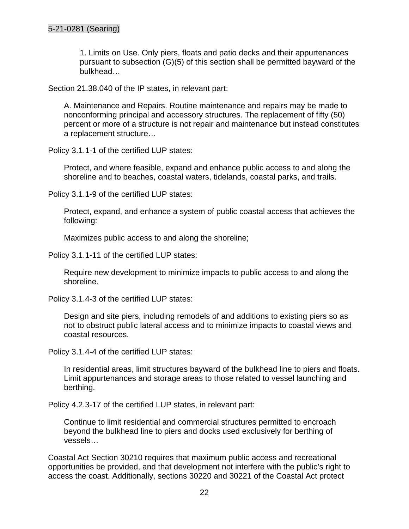1. Limits on Use. Only piers, floats and patio decks and their appurtenances pursuant to subsection (G)(5) of this section shall be permitted bayward of the bulkhead…

Section 21.38.040 of the IP states, in relevant part:

A. Maintenance and Repairs. Routine maintenance and repairs may be made to nonconforming principal and accessory structures. The replacement of fifty (50) percent or more of a structure is not repair and maintenance but instead constitutes a replacement structure…

Policy 3.1.1-1 of the certified LUP states:

Protect, and where feasible, expand and enhance public access to and along the shoreline and to beaches, coastal waters, tidelands, coastal parks, and trails.

Policy 3.1.1-9 of the certified LUP states:

Protect, expand, and enhance a system of public coastal access that achieves the following:

Maximizes public access to and along the shoreline;

Policy 3.1.1-11 of the certified LUP states:

Require new development to minimize impacts to public access to and along the shoreline.

Policy 3.1.4-3 of the certified LUP states:

Design and site piers, including remodels of and additions to existing piers so as not to obstruct public lateral access and to minimize impacts to coastal views and coastal resources.

Policy 3.1.4-4 of the certified LUP states:

In residential areas, limit structures bayward of the bulkhead line to piers and floats. Limit appurtenances and storage areas to those related to vessel launching and berthing.

Policy 4.2.3-17 of the certified LUP states, in relevant part:

Continue to limit residential and commercial structures permitted to encroach beyond the bulkhead line to piers and docks used exclusively for berthing of vessels…

Coastal Act Section 30210 requires that maximum public access and recreational opportunities be provided, and that development not interfere with the public's right to access the coast. Additionally, sections 30220 and 30221 of the Coastal Act protect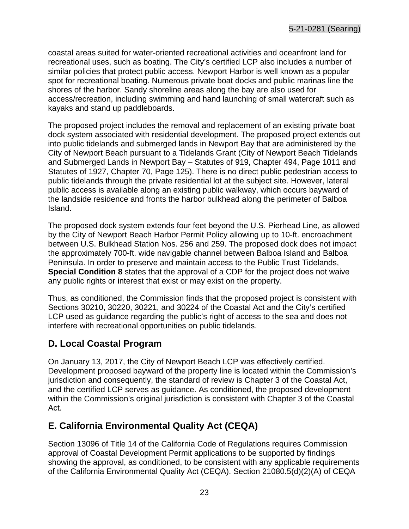coastal areas suited for water-oriented recreational activities and oceanfront land for recreational uses, such as boating. The City's certified LCP also includes a number of similar policies that protect public access. Newport Harbor is well known as a popular spot for recreational boating. Numerous private boat docks and public marinas line the shores of the harbor. Sandy shoreline areas along the bay are also used for access/recreation, including swimming and hand launching of small watercraft such as kayaks and stand up paddleboards.

The proposed project includes the removal and replacement of an existing private boat dock system associated with residential development. The proposed project extends out into public tidelands and submerged lands in Newport Bay that are administered by the City of Newport Beach pursuant to a Tidelands Grant (City of Newport Beach Tidelands and Submerged Lands in Newport Bay – Statutes of 919, Chapter 494, Page 1011 and Statutes of 1927, Chapter 70, Page 125). There is no direct public pedestrian access to public tidelands through the private residential lot at the subject site. However, lateral public access is available along an existing public walkway, which occurs bayward of the landside residence and fronts the harbor bulkhead along the perimeter of Balboa Island.

The proposed dock system extends four feet beyond the U.S. Pierhead Line, as allowed by the City of Newport Beach Harbor Permit Policy allowing up to 10-ft. encroachment between U.S. Bulkhead Station Nos. 256 and 259. The proposed dock does not impact the approximately 700-ft. wide navigable channel between Balboa Island and Balboa Peninsula. In order to preserve and maintain access to the Public Trust Tidelands, **Special Condition 8** states that the approval of a CDP for the project does not waive any public rights or interest that exist or may exist on the property.

Thus, as conditioned, the Commission finds that the proposed project is consistent with Sections 30210, 30220, 30221, and 30224 of the Coastal Act and the City's certified LCP used as guidance regarding the public's right of access to the sea and does not interfere with recreational opportunities on public tidelands.

# <span id="page-22-0"></span>**D. Local Coastal Program**

On January 13, 2017, the City of Newport Beach LCP was effectively certified. Development proposed bayward of the property line is located within the Commission's jurisdiction and consequently, the standard of review is Chapter 3 of the Coastal Act, and the certified LCP serves as guidance. As conditioned, the proposed development within the Commission's original jurisdiction is consistent with Chapter 3 of the Coastal Act.

# <span id="page-22-1"></span>**E. California Environmental Quality Act (CEQA)**

Section 13096 of Title 14 of the California Code of Regulations requires Commission approval of Coastal Development Permit applications to be supported by findings showing the approval, as conditioned, to be consistent with any applicable requirements of the California Environmental Quality Act (CEQA). Section 21080.5(d)(2)(A) of CEQA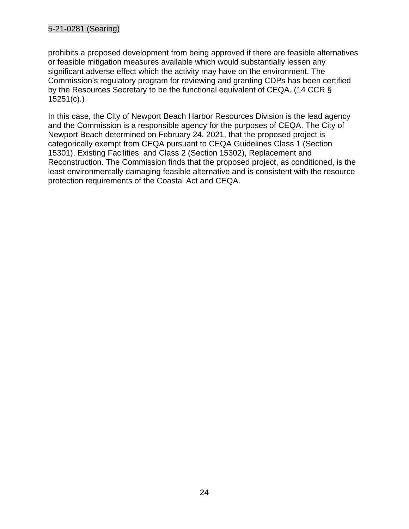prohibits a proposed development from being approved if there are feasible alternatives or feasible mitigation measures available which would substantially lessen any significant adverse effect which the activity may have on the environment. The Commission's regulatory program for reviewing and granting CDPs has been certified by the Resources Secretary to be the functional equivalent of CEQA. (14 CCR § 15251(c).)

In this case, the City of Newport Beach Harbor Resources Division is the lead agency and the Commission is a responsible agency for the purposes of CEQA. The City of Newport Beach determined on February 24, 2021, that the proposed project is categorically exempt from CEQA pursuant to CEQA Guidelines Class 1 (Section 15301), Existing Facilities, and Class 2 (Section 15302), Replacement and Reconstruction. The Commission finds that the proposed project, as conditioned, is the least environmentally damaging feasible alternative and is consistent with the resource protection requirements of the Coastal Act and CEQA.